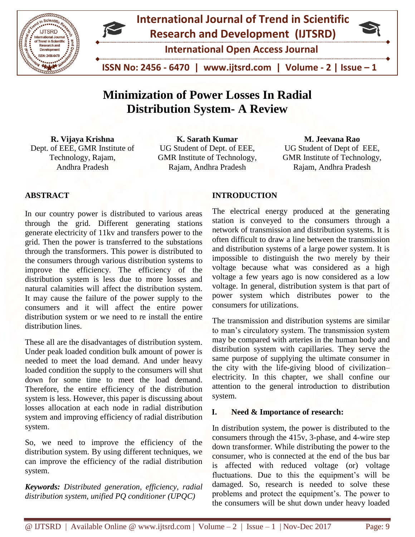



**International Open Access Journal**

 **ISSN No: 2456 - 6470 | www.ijtsrd.com | Volume - 2 | Issue – 1**

# **Minimization of Power Losses In Radial Distribution System- A Review**

**R. Vijaya Krishna** Dept. of EEE, GMR Institute of Technology, Rajam, Andhra Pradesh

**K. Sarath Kumar** UG Student of Dept. of EEE, GMR Institute of Technology, Rajam, Andhra Pradesh

**M. Jeevana Rao** UG Student of Dept of EEE, GMR Institute of Technology, Rajam, Andhra Pradesh

# **ABSTRACT**

In our country power is distributed to various areas through the grid. Different generating stations generate electricity of 11kv and transfers power to the grid. Then the power is transferred to the substations through the transformers. This power is distributed to the consumers through various distribution systems to improve the efficiency. The efficiency of the distribution system is less due to more losses and natural calamities will affect the distribution system. It may cause the failure of the power supply to the consumers and it will affect the entire power distribution system or we need to re install the entire distribution lines.

These all are the disadvantages of distribution system. Under peak loaded condition bulk amount of power is needed to meet the load demand. And under heavy loaded condition the supply to the consumers will shut down for some time to meet the load demand. Therefore, the entire efficiency of the distribution system is less. However, this paper is discussing about losses allocation at each node in radial distribution system and improving efficiency of radial distribution system.

So, we need to improve the efficiency of the distribution system. By using different techniques, we can improve the efficiency of the radial distribution system.

*Keywords: Distributed generation, efficiency, radial distribution system, unified PQ conditioner (UPQC)*

# **INTRODUCTION**

The electrical energy produced at the generating station is conveyed to the consumers through a network of transmission and distribution systems. It is often difficult to draw a line between the transmission and distribution systems of a large power system. It is impossible to distinguish the two merely by their voltage because what was considered as a high voltage a few years ago is now considered as a low voltage. In general, distribution system is that part of power system which distributes power to the consumers for utilizations.

The transmission and distribution systems are similar to man's circulatory system. The transmission system may be compared with arteries in the human body and distribution system with capillaries. They serve the same purpose of supplying the ultimate consumer in the city with the life-giving blood of civilization– electricity. In this chapter, we shall confine our attention to the general introduction to distribution system.

# **I. Need & Importance of research:**

In distribution system, the power is distributed to the consumers through the 415v, 3-phase, and 4-wire step down transformer. While distributing the power to the consumer, who is connected at the end of the bus bar is affected with reduced voltage (or) voltage fluctuations. Due to this the equipment's will be damaged. So, research is needed to solve these problems and protect the equipment's. The power to the consumers will be shut down under heavy loaded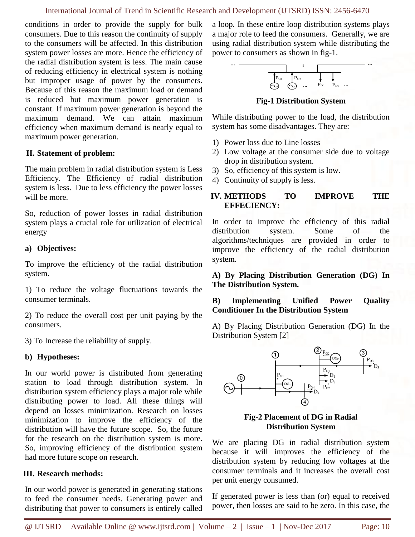conditions in order to provide the supply for bulk consumers. Due to this reason the continuity of supply to the consumers will be affected. In this distribution system power losses are more. Hence the efficiency of the radial distribution system is less. The main cause of reducing efficiency in electrical system is nothing but improper usage of power by the consumers. Because of this reason the maximum load or demand is reduced but maximum power generation is constant. If maximum power generation is beyond the maximum demand. We can attain maximum efficiency when maximum demand is nearly equal to maximum power generation.

# **II. Statement of problem:**

The main problem in radial distribution system is Less Efficiency. The Efficiency of radial distribution system is less. Due to less efficiency the power losses will be more.

So, reduction of power losses in radial distribution system plays a crucial role for utilization of electrical energy

### **a) Objectives:**

To improve the efficiency of the radial distribution system.

1) To reduce the voltage fluctuations towards the consumer terminals.

2) To reduce the overall cost per unit paying by the consumers.

3) To Increase the reliability of supply.

### **b) Hypotheses:**

In our world power is distributed from generating station to load through distribution system. In distribution system efficiency plays a major role while distributing power to load. All these things will depend on losses minimization. Research on losses minimization to improve the efficiency of the distribution will have the future scope. So, the future for the research on the distribution system is more. So, improving efficiency of the distribution system had more future scope on research.

### **III. Research methods:**

In our world power is generated in generating stations to feed the consumer needs. Generating power and distributing that power to consumers is entirely called

a loop. In these entire loop distribution systems plays a major role to feed the consumers. Generally, we are using radial distribution system while distributing the power to consumers as shown in fig-1.



**Fig-1 Distribution System**

While distributing power to the load, the distribution system has some disadvantages. They are:

- 1) Power loss due to Line losses
- 2) Low voltage at the consumer side due to voltage drop in distribution system.
- 3) So, efficiency of this system is low.
- 4) Continuity of supply is less.

# **IV. METHODS TO IMPROVE THE EFFECIENCY:**

In order to improve the efficiency of this radial distribution system. Some of the algorithms/techniques are provided in order to improve the efficiency of the radial distribution system.

**A) By Placing Distribution Generation (DG) In The Distribution System.**

**B) Implementing Unified Power Quality Conditioner In the Distribution System**

A) By Placing Distribution Generation (DG) In the Distribution System [2]



### **Fig-2 Placement of DG in Radial Distribution System**

We are placing DG in radial distribution system because it will improves the efficiency of the distribution system by reducing low voltages at the consumer terminals and it increases the overall cost per unit energy consumed.

If generated power is less than (or) equal to received power, then losses are said to be zero. In this case, the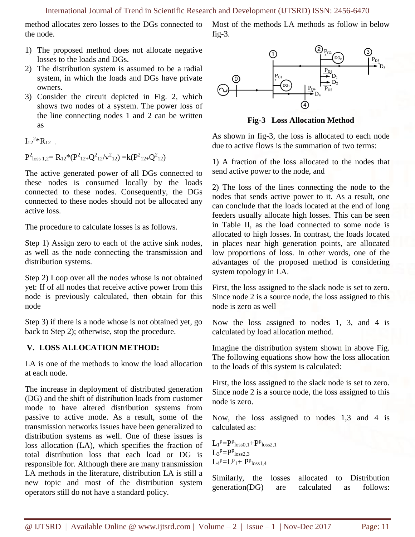method allocates zero losses to the DGs connected to the node.

1) The proposed method does not allocate negative losses to the loads and DGs.

- 2) The distribution system is assumed to be a radial system, in which the loads and DGs have private owners.
- 3) Consider the circuit depicted in Fig. 2, which shows two nodes of a system. The power loss of the line connecting nodes 1 and 2 can be written as

 $I_{12}^{2*}R_{12}$ .

 $P^2$ <sub>loss 1,2</sub> =  $R_{12}$ \* $(P^2_{12+}Q^2_{12}/v^2_{12})$  =  $k(P^2_{12+}Q^2_{12})$ 

The active generated power of all DGs connected to these nodes is consumed locally by the loads connected to these nodes. Consequently, the DGs connected to these nodes should not be allocated any active loss.

The procedure to calculate losses is as follows.

Step 1) Assign zero to each of the active sink nodes, as well as the node connecting the transmission and distribution systems.

Step 2) Loop over all the nodes whose is not obtained yet: If of all nodes that receive active power from this node is previously calculated, then obtain for this node

Step 3) if there is a node whose is not obtained yet, go back to Step 2); otherwise, stop the procedure.

# **V. LOSS ALLOCATION METHOD:**

LA is one of the methods to know the load allocation at each node.

The increase in deployment of distributed generation (DG) and the shift of distribution loads from customer mode to have altered distribution systems from passive to active mode. As a result, some of the transmission networks issues have been generalized to distribution systems as well. One of these issues is loss allocation (LA), which specifies the fraction of total distribution loss that each load or DG is responsible for. Although there are many transmission LA methods in the literature, distribution LA is still a new topic and most of the distribution system operators still do not have a standard policy.

Most of the methods LA methods as follow in below fig-3.



**Fig-3 Loss Allocation Method**

As shown in fig-3, the loss is allocated to each node due to active flows is the summation of two terms:

1) A fraction of the loss allocated to the nodes that send active power to the node, and

2) The loss of the lines connecting the node to the nodes that sends active power to it. As a result, one can conclude that the loads located at the end of long feeders usually allocate high losses. This can be seen in Table II, as the load connected to some node is allocated to high losses. In contrast, the loads located in places near high generation points, are allocated low proportions of loss. In other words, one of the advantages of the proposed method is considering system topology in LA.

First, the loss assigned to the slack node is set to zero. Since node 2 is a source node, the loss assigned to this node is zero as well

Now the loss assigned to nodes 1, 3, and 4 is calculated by load allocation method.

Imagine the distribution system shown in above Fig. The following equations show how the loss allocation to the loads of this system is calculated:

First, the loss assigned to the slack node is set to zero. Since node 2 is a source node, the loss assigned to this node is zero.

Now, the loss assigned to nodes 1,3 and 4 is calculated as:

$$
\begin{array}{l}L_1{}^p\!\!=\!\!P^p{}_{loss0,1}\!\!+\!\!P^p{}_{loss2,1}\\L_3{}^p\!\!=\!\!P^p{}_{loss2,3}\\L_4{}^p\!\!=\!\!L^p{}_1\!\!+\!\!P^p{}_{loss1,4}\end{array}
$$

Similarly, the losses allocated to Distribution generation(DG) are calculated as follows: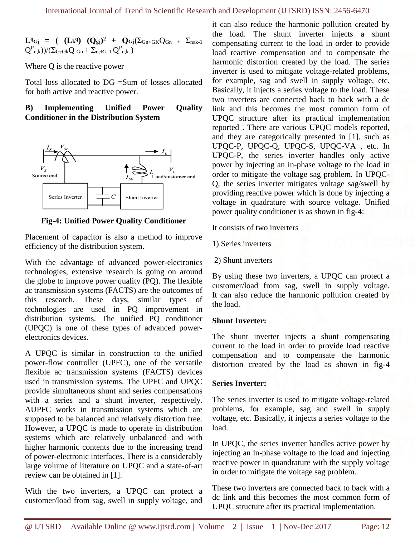$L^q G_j = (L_k^q) (Q_{gj})^2 + Q_{Gj} (\Sigma_{Gn \leq GK} Q_{Gn} + \Sigma_{n \in k-1})$  $(Q_{n,k}^{P})/(\Sigma_{G\epsilon Gk}Q_{Gn} + \Sigma_{n\epsilon Rk-1}Q_{n,k}^{P})$ 

Where Q is the reactive power

Total loss allocated to DG =Sum of losses allocated for both active and reactive power.

# **B) Implementing Unified Power Quality Conditioner in the Distribution System**



**Fig-4: Unified Power Quality Conditioner**

Placement of capacitor is also a method to improve efficiency of the distribution system.

With the advantage of advanced power-electronics technologies, extensive research is going on around the globe to improve power quality (PQ). The flexible ac transmission systems (FACTS) are the outcomes of this research. These days, similar types of technologies are used in PQ improvement in distribution systems. The unified PQ conditioner (UPQC) is one of these types of advanced powerelectronics devices.

A UPQC is similar in construction to the unified power-flow controller (UPFC), one of the versatile flexible ac transmission systems (FACTS) devices used in transmission systems. The UPFC and UPQC provide simultaneous shunt and series compensations with a series and a shunt inverter, respectively. AUPFC works in transmission systems which are supposed to be balanced and relatively distortion free. However, a UPQC is made to operate in distribution systems which are relatively unbalanced and with higher harmonic contents due to the increasing trend of power-electronic interfaces. There is a considerably large volume of literature on UPQC and a state-of-art review can be obtained in [1].

With the two inverters, a UPQC can protect a customer/load from sag, swell in supply voltage, and it can also reduce the harmonic pollution created by the load. The shunt inverter injects a shunt compensating current to the load in order to provide load reactive compensation and to compensate the harmonic distortion created by the load. The series inverter is used to mitigate voltage-related problems, for example, sag and swell in supply voltage, etc. Basically, it injects a series voltage to the load. These two inverters are connected back to back with a dc link and this becomes the most common form of UPQC structure after its practical implementation reported . There are various UPQC models reported, and they are categorically presented in [1], such as UPQC-P, UPQC-Q, UPQC-S, UPQC-VA , etc. In UPQC-P, the series inverter handles only active power by injecting an in-phase voltage to the load in order to mitigate the voltage sag problem. In UPQC-Q, the series inverter mitigates voltage sag/swell by providing reactive power which is done by injecting a voltage in quadrature with source voltage. Unified power quality conditioner is as shown in fig-4:

It consists of two inverters

- 1) Series inverters
- 2) Shunt inverters

By using these two inverters, a UPQC can protect a customer/load from sag, swell in supply voltage. It can also reduce the harmonic pollution created by the load.

# **Shunt Inverter:**

The shunt inverter injects a shunt compensating current to the load in order to provide load reactive compensation and to compensate the harmonic distortion created by the load as shown in fig-4

# **Series Inverter:**

The series inverter is used to mitigate voltage-related problems, for example, sag and swell in supply voltage, etc. Basically, it injects a series voltage to the load.

In UPQC, the series inverter handles active power by injecting an in-phase voltage to the load and injecting reactive power in quandrature with the supply voltage in order to mitigate the voltage sag problem.

These two inverters are connected back to back with a dc link and this becomes the most common form of UPQC structure after its practical implementation.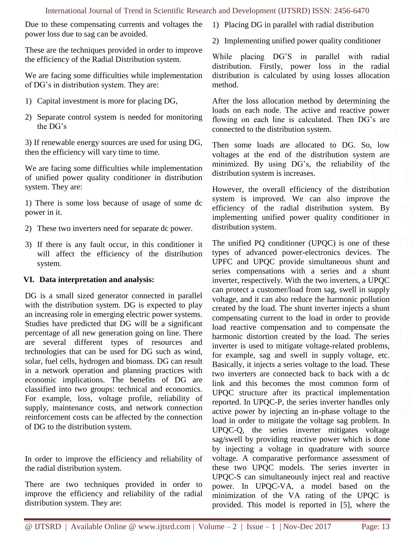### International Journal of Trend in Scientific Research and Development (IJTSRD) ISSN: 2456-6470

Due to these compensating currents and voltages the power loss due to sag can be avoided.

These are the techniques provided in order to improve the efficiency of the Radial Distribution system.

We are facing some difficulties while implementation of DG's in distribution system. They are:

- 1) Capital investment is more for placing DG,
- 2) Separate control system is needed for monitoring the DG's

3) If renewable energy sources are used for using DG, then the efficiency will vary time to time.

We are facing some difficulties while implementation of unified power quality conditioner in distribution system. They are:

1) There is some loss because of usage of some dc power in it.

- 2) These two inverters need for separate dc power.
- 3) If there is any fault occur, in this conditioner it will affect the efficiency of the distribution system.

# **VI. Data interpretation and analysis:**

DG is a small sized generator connected in parallel with the distribution system. DG is expected to play an increasing role in emerging electric power systems. Studies have predicted that DG will be a significant percentage of all new generation going on line. There are several different types of resources and technologies that can be used for DG such as wind, solar, fuel cells, hydrogen and biomass. DG can result in a network operation and planning practices with economic implications. The benefits of DG are classified into two groups: technical and economics. For example, loss, voltage profile, reliability of supply, maintenance costs, and network connection reinforcement costs can be affected by the connection of DG to the distribution system.

In order to improve the efficiency and reliability of the radial distribution system.

There are two techniques provided in order to improve the efficiency and reliability of the radial distribution system. They are:

- 1) Placing DG in parallel with radial distribution
- 2) Implementing unified power quality conditioner

While placing DG'S in parallel with radial distribution. Firstly, power loss in the radial distribution is calculated by using losses allocation method.

After the loss allocation method by determining the loads on each node. The active and reactive power flowing on each line is calculated. Then DG's are connected to the distribution system.

Then some loads are allocated to DG. So, low voltages at the end of the distribution system are minimized. By using DG's, the reliability of the distribution system is increases.

However, the overall efficiency of the distribution system is improved. We can also improve the efficiency of the radial distribution system. By implementing unified power quality conditioner in distribution system.

The unified PQ conditioner (UPQC) is one of these types of advanced power-electronics devices. The UPFC and UPQC provide simultaneous shunt and series compensations with a series and a shunt inverter, respectively. With the two inverters, a UPQC can protect a customer/load from sag, swell in supply voltage, and it can also reduce the harmonic pollution created by the load. The shunt inverter injects a shunt compensating current to the load in order to provide load reactive compensation and to compensate the harmonic distortion created by the load. The series inverter is used to mitigate voltage-related problems, for example, sag and swell in supply voltage, etc. Basically, it injects a series voltage to the load. These two inverters are connected back to back with a dc link and this becomes the most common form of UPQC structure after its practical implementation reported. In UPQC-P, the series inverter handles only active power by injecting an in-phase voltage to the load in order to mitigate the voltage sag problem. In UPQC-Q, the series inverter mitigates voltage sag/swell by providing reactive power which is done by injecting a voltage in quadrature with source voltage. A comparative performance assessment of these two UPQC models. The series inverter in UPQC-S can simultaneously inject real and reactive power. In UPQC-VA, a model based on the minimization of the VA rating of the UPQC is provided. This model is reported in [5], where the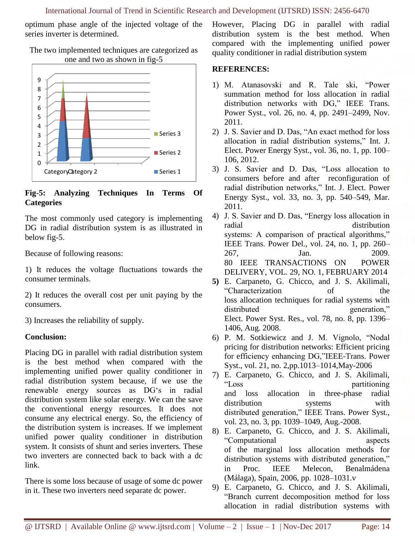optimum phase angle of the injected voltage of the series inverter is determined.

0 1 2 3 4 5 6 7 8 9 Category Category 2 Series 3 Series 2 Series 1

# The two implemented techniques are categorized as one and two as shown in fig-5

# **Fig-5: Analyzing Techniques In Terms Of Categories**

The most commonly used category is implementing DG in radial distribution system is as illustrated in below fig-5.

Because of following reasons:

1) It reduces the voltage fluctuations towards the consumer terminals.

2) It reduces the overall cost per unit paying by the consumers.

3) Increases the reliability of supply.

# **Conclusion:**

Placing DG in parallel with radial distribution system is the best method when compared with the implementing unified power quality conditioner in radial distribution system because, if we use the renewable energy sources as DG's in radial distribution system like solar energy. We can the save the conventional energy resources. It does not consume any electrical energy. So, the efficiency of the distribution system is increases. If we implement unified power quality conditioner in distribution system. It consists of shunt and series inverters. These two inverters are connected back to back with a dc link.

There is some loss because of usage of some dc power in it. These two inverters need separate dc power.

However, Placing DG in parallel with radial distribution system is the best method. When compared with the implementing unified power quality conditioner in radial distribution system

# **REFERENCES:**

- 1) M. Atanasovski and R. Tale ski, "Power summation method for loss allocation in radial distribution networks with DG," IEEE Trans. Power Syst., vol. 26, no. 4, pp. 2491–2499, Nov. 2011.
- 2) J. S. Savier and D. Das, "An exact method for loss allocation in radial distribution systems," Int. J. Elect. Power Energy Syst., vol. 36, no. 1, pp. 100– 106, 2012.
- 3) J. S. Savier and D. Das, "Loss allocation to consumers before and after reconfiguration of radial distribution networks," Int. J. Elect. Power Energy Syst., vol. 33, no. 3, pp. 540–549, Mar. 2011.
- 4) J. S. Savier and D. Das, "Energy loss allocation in radial distribution systems: A comparison of practical algorithms," IEEE Trans. Power Del., vol. 24, no. 1, pp. 260– 267, Jan. 2009. 80 IEEE TRANSACTIONS ON POWER DELIVERY, VOL. 29, NO. 1, FEBRUARY 2014
- **5)** E. Carpaneto, G. Chicco, and J. S. Akilimali, "Characterization of the loss allocation techniques for radial systems with distributed generation," Elect. Power Syst. Res., vol. 78, no. 8, pp. 1396– 1406, Aug. 2008.
- 6) P. M. Sotkiewicz and J. M. Vignolo, "Nodal pricing for distribution networks: Efficient pricing for efficiency enhancing DG,"IEEE-Trans. Power Syst., vol. 21, no. 2,pp.1013–1014,May-2006
- 7) E. Carpaneto, G. Chicco, and J. S. Akilimali, "Loss partitioning and loss allocation in three-phase radial distribution systems with distributed generation," IEEE Trans. Power Syst., vol. 23, no. 3, pp. 1039–1049, Aug.-2008.
- 8) E. Carpaneto, G. Chicco, and J. S. Akilimali, "Computational aspects of the marginal loss allocation methods for distribution systems with distributed generation," in Proc. IEEE Melecon, Benalmádena (Málaga), Spain, 2006, pp. 1028–1031.v
- 9) E. Carpaneto, G. Chicco, and J. S. Akilimali, "Branch current decomposition method for loss allocation in radial distribution systems with